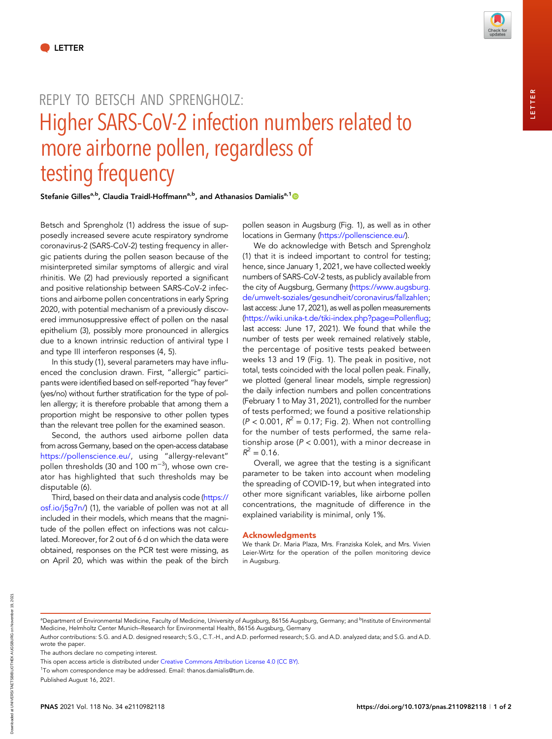## REPLY TO BETSCH AND SPRENGHOLZ: Higher SARS-CoV-2 infection numbers related to more airborne pollen, regardless of testing frequency

Stefanie Gilles<sup>a,b</sup>, Claudia Traidl-Hoffmann<sup>a,b</sup>, and Athanasios Damialis<sup>a,1</sup>

Betsch and Sprengholz (1) address the issue of supposedly increased severe acute respiratory syndrome coronavirus-2 (SARS-CoV-2) testing frequency in allergic patients during the pollen season because of the misinterpreted similar symptoms of allergic and viral rhinitis. We (2) had previously reported a significant and positive relationship between SARS-CoV-2 infections and airborne pollen concentrations in early Spring 2020, with potential mechanism of a previously discovered immunosuppressive effect of pollen on the nasal epithelium (3), possibly more pronounced in allergics due to a known intrinsic reduction of antiviral type I and type III interferon responses (4, 5).

In this study (1), several parameters may have influenced the conclusion drawn. First, "allergic" participants were identified based on self-reported "hay fever" (yes/no) without further stratification for the type of pollen allergy; it is therefore probable that among them a proportion might be responsive to other pollen types than the relevant tree pollen for the examined season.

Second, the authors used airborne pollen data from across Germany, based on the open-access database [https://pollenscience.eu/,](https://pollenscience.eu/) using "allergy-relevant" pollen thresholds (30 and 100  $\mathrm{m}^{-3}$ ), whose own creator has highlighted that such thresholds may be disputable (6).

Third, based on their data and analysis code ([https://](https://osf.io/j5g7n/) [osf.io/j5g7n/](https://osf.io/j5g7n/)) (1), the variable of pollen was not at all included in their models, which means that the magnitude of the pollen effect on infections was not calculated. Moreover, for 2 out of 6 d on which the data were obtained, responses on the PCR test were missing, as on April 20, which was within the peak of the birch

pollen season in Augsburg (Fig. 1), as well as in other locations in Germany [\(https://pollenscience.eu/\)](https://pollenscience.eu/).

We do acknowledge with Betsch and Sprengholz (1) that it is indeed important to control for testing; hence, since January 1, 2021, we have collected weekly numbers of SARS-CoV-2 tests, as publicly available from the city of Augsburg, Germany ([https://www.augsburg.](https://www.augsburg.de/umwelt-soziales/gesundheit/coronavirus/fallzahlen) [de/umwelt-soziales/gesundheit/coronavirus/fallzahlen;](https://www.augsburg.de/umwelt-soziales/gesundheit/coronavirus/fallzahlen) last access: June 17, 2021), as well as pollen measurements [\(https://wiki.unika-t.de/tiki-index.php?page](https://wiki.unika-t.de/tiki-index.php?page=Pollenflug)=Pollenflug; last access: June 17, 2021). We found that while the number of tests per week remained relatively stable, the percentage of positive tests peaked between weeks 13 and 19 (Fig. 1). The peak in positive, not total, tests coincided with the local pollen peak. Finally, we plotted (general linear models, simple regression) the daily infection numbers and pollen concentrations (February 1 to May 31, 2021), controlled for the number of tests performed; we found a positive relationship  $(P < 0.001, R^2 = 0.17$ ; Fig. 2). When not controlling for the number of tests performed, the same relationship arose ( $P < 0.001$ ), with a minor decrease in  $R^2 = 0.16$ .

Overall, we agree that the testing is a significant parameter to be taken into account when modeling the spreading of COVID-19, but when integrated into other more significant variables, like airborne pollen concentrations, the magnitude of difference in the explained variability is minimal, only 1%.

## Acknowledgments

We thank Dr. Maria Plaza, Mrs. Franziska Kolek, and Mrs. Vivien Leier-Wirtz for the operation of the pollen monitoring device in Augsburg.

<sup>a</sup>Department of Environmental Medicine, Faculty of Medicine, University of Augsburg, 86156 Augsburg, Germany; and <sup>b</sup>Institute of Environmental Medicine, Helmholtz Center Munich–Research for Environmental Health, 86156 Augsburg, Germany

The authors declare no competing interest.

Published August 16, 2021.

Author contributions: S.G. and A.D. designed research; S.G., C.T.-H., and A.D. performed research; S.G. and A.D. analyzed data; and S.G. and A.D. wrote the paper.

This open access article is distributed under [Creative Commons Attribution License 4.0 \(CC BY\).](http://creativecommons.org/licenses/by/4.0/)

<sup>&</sup>lt;sup>1</sup>To whom correspondence may be addressed. Email: [thanos.damialis@tum.de.](mailto:thanos.damialis@tum.de)